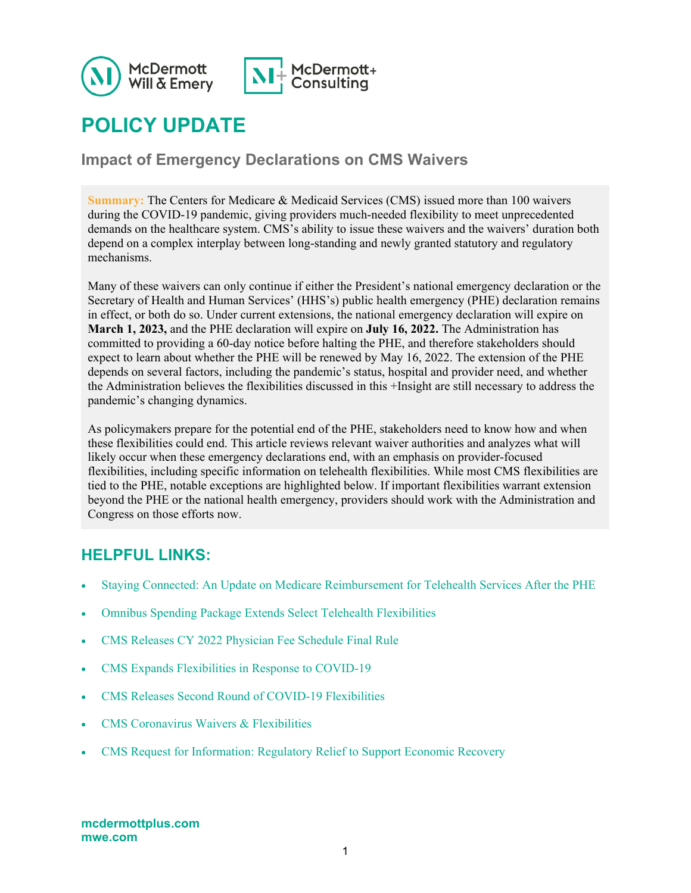

# **POLICY UPDATE**

**Impact of Emergency Declarations on CMS Waivers**

**Summary:** The Centers for Medicare & Medicaid Services (CMS) issued more than 100 waivers during the COVID-19 pandemic, giving providers much-needed flexibility to meet unprecedented demands on the healthcare system. CMS's ability to issue these waivers and the waivers' duration both depend on a complex interplay between long-standing and newly granted statutory and regulatory mechanisms.

Many of these waivers can only continue if either the President's national emergency declaration or the Secretary of Health and Human Services' (HHS's) public health emergency (PHE) declaration remains in effect, or both do so. Under current extensions, the national emergency declaration will expire on **March 1, 2023,** and the PHE declaration will expire on **July 16, 2022.** The Administration has committed to providing a 60-day notice before halting the PHE, and therefore stakeholders should expect to learn about whether the PHE will be renewed by May 16, 2022. The extension of the PHE depends on several factors, including the pandemic's status, hospital and provider need, and whether the Administration believes the flexibilities discussed in this +Insight are still necessary to address the pandemic's changing dynamics.

As policymakers prepare for the potential end of the PHE, stakeholders need to know how and when these flexibilities could end. This article reviews relevant waiver authorities and analyzes what will likely occur when these emergency declarations end, with an emphasis on provider-focused flexibilities, including specific information on telehealth flexibilities. While most CMS flexibilities are tied to the PHE, notable exceptions are highlighted below. If important flexibilities warrant extension beyond the PHE or the national health emergency, providers should work with the Administration and Congress on those efforts now.

### **HELPFUL LINKS:**

- [Staying Connected: An Update on Medicare Reimbursement for Telehealth Services After the PHE](https://www.mwe.com/it/insights/staying-connected-an-update-on-medicare-reimbursement-for-telehealth-services-after-the-phe/)
- [Omnibus Spending Package Extends Select Telehealth Flexibilities](https://www.mcdermottplus.com/insights/omnibus-spending-package-extends-select-telehealth-flexibilities/)
- [CMS Releases CY 2022 Physician Fee Schedule Final Rule](https://www.mcdermottplus.com/insights/cms-releases-cy-2022-physician-fee-schedule-final-rule/)
- [CMS Expands Flexibilities in Response to COVID-19](https://www.mcdermottplus.com/insights/cms-expands-flexibilities-in-response-to-covid-19/)
- [CMS Releases Second Round of COVID-19 Flexibilities](https://www.mcdermottplus.com/insights/cms-releases-second-round-of-covid-19-flexibilities/)
- [CMS Coronavirus Waivers & Flexibilities](https://www.cms.gov/about-cms/emergency-preparedness-response-operations/current-emergencies/coronavirus-waivers)
- [CMS Request for Information: Regulatory Relief to Support Economic Recovery](https://www.govinfo.gov/content/pkg/FR-2020-11-25/pdf/2020-25812.pdf)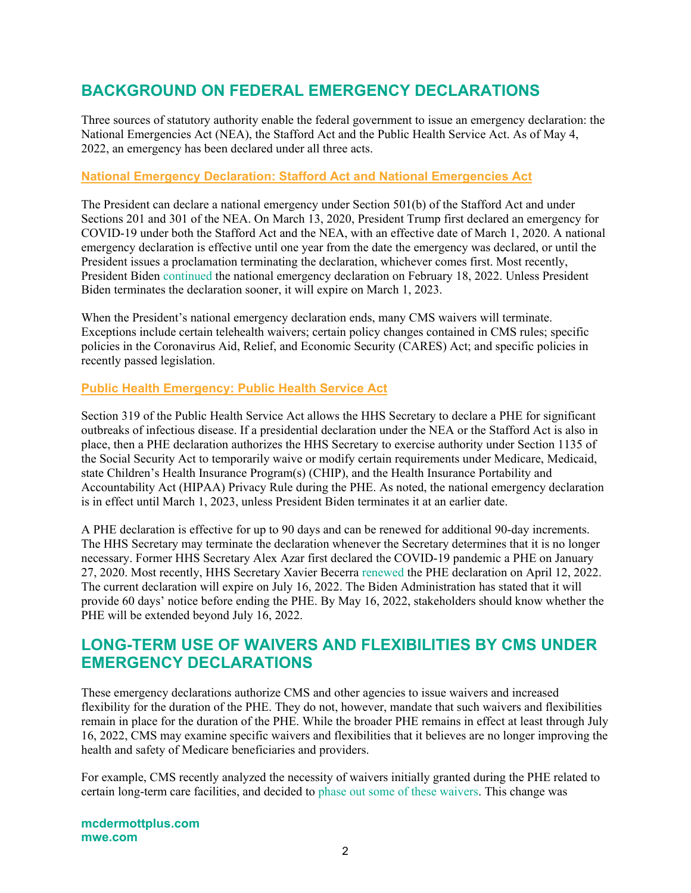# **BACKGROUND ON FEDERAL EMERGENCY DECLARATIONS**

Three sources of statutory authority enable the federal government to issue an emergency declaration: the National Emergencies Act (NEA), the Stafford Act and the Public Health Service Act. As of May 4, 2022, an emergency has been declared under all three acts.

### **National Emergency Declaration: Stafford Act and National Emergencies Act**

The President can declare a national emergency under Section 501(b) of the Stafford Act and under Sections 201 and 301 of the NEA. On March 13, 2020, President Trump first declared an emergency for COVID-19 under both the Stafford Act and the NEA, with an effective date of March 1, 2020. A national emergency declaration is effective until one year from the date the emergency was declared, or until the President issues a proclamation terminating the declaration, whichever comes first. Most recently, President Biden [continued](https://www.whitehouse.gov/briefing-room/presidential-actions/2022/02/18/notice-on-the-continuation-of-the-national-emergency-concerning-the-coronavirus-disease-2019-covid-19-pandemic-2/) the national emergency declaration on February 18, 2022. Unless President Biden terminates the declaration sooner, it will expire on March 1, 2023.

When the President's national emergency declaration ends, many CMS waivers will terminate. Exceptions include certain telehealth waivers; certain policy changes contained in CMS rules; specific policies in the Coronavirus Aid, Relief, and Economic Security (CARES) Act; and specific policies in recently passed legislation.

### **Public Health Emergency: Public Health Service Act**

Section 319 of the Public Health Service Act allows the HHS Secretary to declare a PHE for significant outbreaks of infectious disease. If a presidential declaration under the NEA or the Stafford Act is also in place, then a PHE declaration authorizes the HHS Secretary to exercise authority under Section 1135 of the Social Security Act to temporarily waive or modify certain requirements under Medicare, Medicaid, state Children's Health Insurance Program(s) (CHIP), and the Health Insurance Portability and Accountability Act (HIPAA) Privacy Rule during the PHE. As noted, the national emergency declaration is in effect until March 1, 2023, unless President Biden terminates it at an earlier date.

A PHE declaration is effective for up to 90 days and can be renewed for additional 90-day increments. The HHS Secretary may terminate the declaration whenever the Secretary determines that it is no longer necessary. Former HHS Secretary Alex Azar first declared the COVID-19 pandemic a PHE on January 27, 2020. Most recently, HHS Secretary Xavier Becerra [renewed](https://aspr.hhs.gov/legal/PHE/Pages/COVID19-12Apr2022.aspx) the PHE declaration on April 12, 2022. The current declaration will expire on July 16, 2022. The Biden Administration has stated that it will provide 60 days' notice before ending the PHE. By May 16, 2022, stakeholders should know whether the PHE will be extended beyond July 16, 2022.

### **LONG-TERM USE OF WAIVERS AND FLEXIBILITIES BY CMS UNDER EMERGENCY DECLARATIONS**

These emergency declarations authorize CMS and other agencies to issue waivers and increased flexibility for the duration of the PHE. They do not, however, mandate that such waivers and flexibilities remain in place for the duration of the PHE. While the broader PHE remains in effect at least through July 16, 2022, CMS may examine specific waivers and flexibilities that it believes are no longer improving the health and safety of Medicare beneficiaries and providers.

For example, CMS recently analyzed the necessity of waivers initially granted during the PHE related to certain long-term care facilities, and decided to [phase out some of](https://www.cms.gov/newsroom/press-releases/cms-returning-certain-pre-covid-19-policies-long-term-care-and-other-facilities) these waivers. This change was

**mcdermottplus.com mwe.com**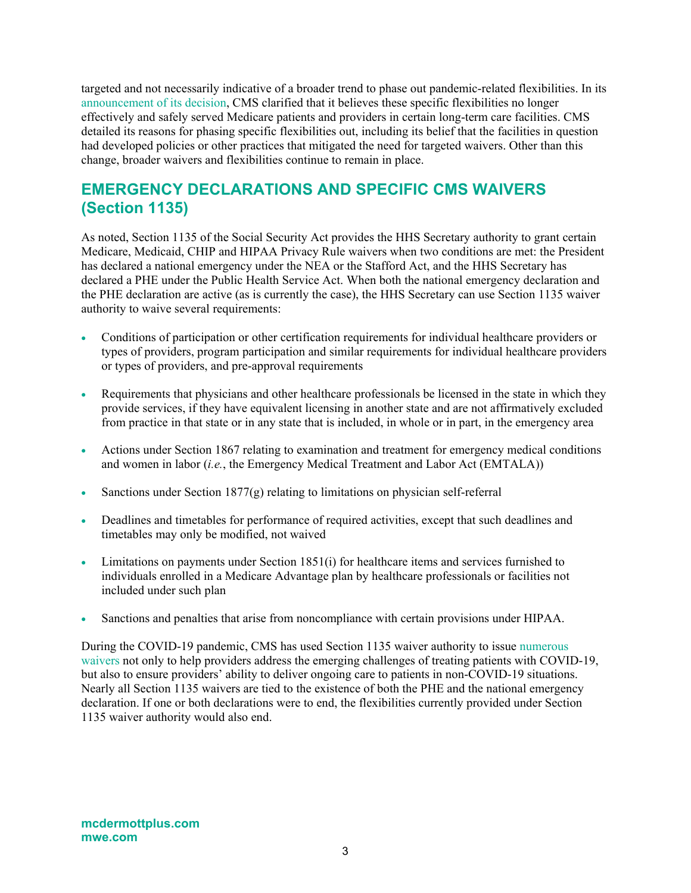targeted and not necessarily indicative of a broader trend to phase out pandemic-related flexibilities. In its [announcement of its decision,](https://www.cms.gov/files/document/qso-22-15-nh-nltc-lsc.pdf) CMS clarified that it believes these specific flexibilities no longer effectively and safely served Medicare patients and providers in certain long-term care facilities. CMS detailed its reasons for phasing specific flexibilities out, including its belief that the facilities in question had developed policies or other practices that mitigated the need for targeted waivers. Other than this change, broader waivers and flexibilities continue to remain in place.

### **EMERGENCY DECLARATIONS AND SPECIFIC CMS WAIVERS (Section 1135)**

As noted, Section 1135 of the Social Security Act provides the HHS Secretary authority to grant certain Medicare, Medicaid, CHIP and HIPAA Privacy Rule waivers when two conditions are met: the President has declared a national emergency under the NEA or the Stafford Act, and the HHS Secretary has declared a PHE under the Public Health Service Act. When both the national emergency declaration and the PHE declaration are active (as is currently the case), the HHS Secretary can use Section 1135 waiver authority to waive several requirements:

- Conditions of participation or other certification requirements for individual healthcare providers or types of providers, program participation and similar requirements for individual healthcare providers or types of providers, and pre-approval requirements
- Requirements that physicians and other healthcare professionals be licensed in the state in which they provide services, if they have equivalent licensing in another state and are not affirmatively excluded from practice in that state or in any state that is included, in whole or in part, in the emergency area
- Actions under Section 1867 relating to examination and treatment for emergency medical conditions and women in labor (*i.e.*, the Emergency Medical Treatment and Labor Act (EMTALA))
- Sanctions under Section  $1877(g)$  relating to limitations on physician self-referral
- Deadlines and timetables for performance of required activities, except that such deadlines and timetables may only be modified, not waived
- Limitations on payments under Section 1851(i) for healthcare items and services furnished to individuals enrolled in a Medicare Advantage plan by healthcare professionals or facilities not included under such plan
- Sanctions and penalties that arise from noncompliance with certain provisions under HIPAA.

During the COVID-19 pandemic, CMS has used Section 1135 waiver authority to issue [numerous](https://www.cms.gov/about-cms/emergency-preparedness-response-operations/current-emergencies/coronavirus-waivers)  [waivers](https://www.cms.gov/about-cms/emergency-preparedness-response-operations/current-emergencies/coronavirus-waivers) not only to help providers address the emerging challenges of treating patients with COVID-19, but also to ensure providers' ability to deliver ongoing care to patients in non-COVID-19 situations. Nearly all Section 1135 waivers are tied to the existence of both the PHE and the national emergency declaration. If one or both declarations were to end, the flexibilities currently provided under Section 1135 waiver authority would also end.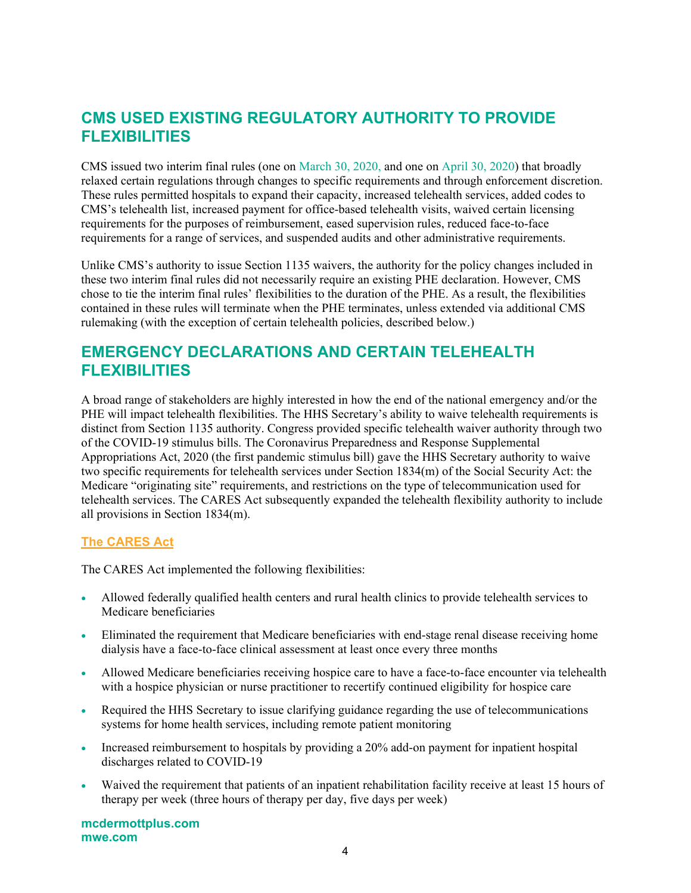# **CMS USED EXISTING REGULATORY AUTHORITY TO PROVIDE FLEXIBILITIES**

CMS issued two interim final rules (one on [March 30, 2020,](https://www.federalregister.gov/documents/2020/04/06/2020-06990/medicare-and-medicaid-programs-policy-and-regulatory-revisions-in-response-to-the-covid-19-public) and one on [April 30, 2020\)](https://www.cms.gov/files/document/covid-medicare-and-medicaid-ifc2.pdf) that broadly relaxed certain regulations through changes to specific requirements and through enforcement discretion. These rules permitted hospitals to expand their capacity, increased telehealth services, added codes to CMS's telehealth list, increased payment for office-based telehealth visits, waived certain licensing requirements for the purposes of reimbursement, eased supervision rules, reduced face-to-face requirements for a range of services, and suspended audits and other administrative requirements.

Unlike CMS's authority to issue Section 1135 waivers, the authority for the policy changes included in these two interim final rules did not necessarily require an existing PHE declaration. However, CMS chose to tie the interim final rules' flexibilities to the duration of the PHE. As a result, the flexibilities contained in these rules will terminate when the PHE terminates, unless extended via additional CMS rulemaking (with the exception of certain telehealth policies, described below.)

# **EMERGENCY DECLARATIONS AND CERTAIN TELEHEALTH FLEXIBILITIES**

A broad range of stakeholders are highly interested in how the end of the national emergency and/or the PHE will impact telehealth flexibilities. The HHS Secretary's ability to waive telehealth requirements is distinct from Section 1135 authority. Congress provided specific telehealth waiver authority through two of the COVID-19 stimulus bills. The Coronavirus Preparedness and Response Supplemental Appropriations Act, 2020 (the first pandemic stimulus bill) gave the HHS Secretary authority to waive two specific requirements for telehealth services under Section 1834(m) of the Social Security Act: the Medicare "originating site" requirements, and restrictions on the type of telecommunication used for telehealth services. The CARES Act subsequently expanded the telehealth flexibility authority to include all provisions in Section 1834(m).

### **The CARES Act**

The CARES Act implemented the following flexibilities:

- Allowed federally qualified health centers and rural health clinics to provide telehealth services to Medicare beneficiaries
- Eliminated the requirement that Medicare beneficiaries with end-stage renal disease receiving home dialysis have a face-to-face clinical assessment at least once every three months
- Allowed Medicare beneficiaries receiving hospice care to have a face-to-face encounter via telehealth with a hospice physician or nurse practitioner to recertify continued eligibility for hospice care
- Required the HHS Secretary to issue clarifying guidance regarding the use of telecommunications systems for home health services, including remote patient monitoring
- Increased reimbursement to hospitals by providing a 20% add-on payment for inpatient hospital discharges related to COVID-19
- Waived the requirement that patients of an inpatient rehabilitation facility receive at least 15 hours of therapy per week (three hours of therapy per day, five days per week)

**mcdermottplus.com mwe.com**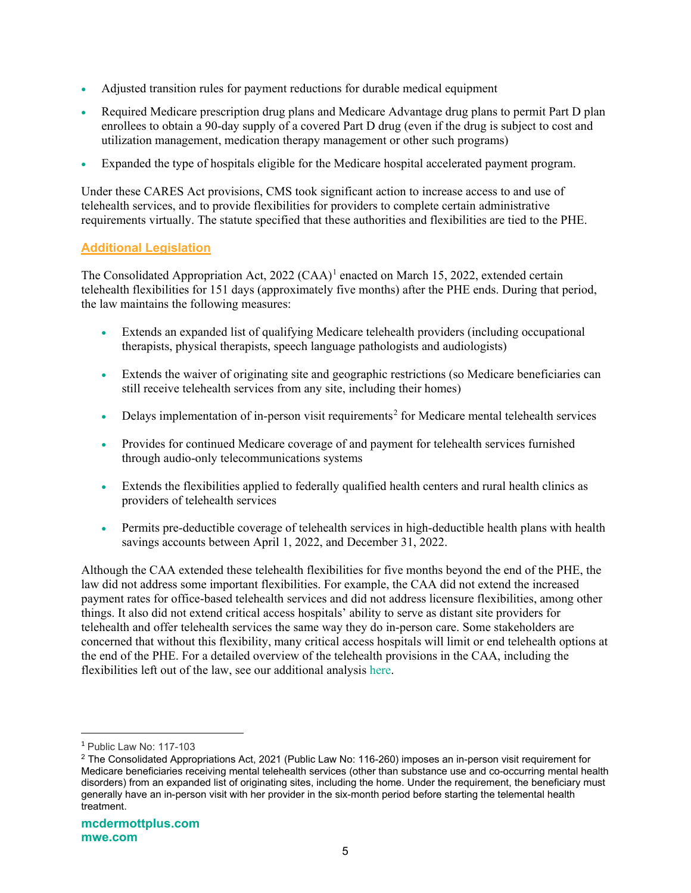- Adjusted transition rules for payment reductions for durable medical equipment
- Required Medicare prescription drug plans and Medicare Advantage drug plans to permit Part D plan enrollees to obtain a 90-day supply of a covered Part D drug (even if the drug is subject to cost and utilization management, medication therapy management or other such programs)
- Expanded the type of hospitals eligible for the Medicare hospital accelerated payment program.

Under these CARES Act provisions, CMS took significant action to increase access to and use of telehealth services, and to provide flexibilities for providers to complete certain administrative requirements virtually. The statute specified that these authorities and flexibilities are tied to the PHE.

### **Additional Legislation**

The Consolidated Appropriation Act,  $2022$  (CAA)<sup>[1](#page-4-0)</sup> enacted on March 15, 2022, extended certain telehealth flexibilities for 151 days (approximately five months) after the PHE ends. During that period, the law maintains the following measures:

- Extends an expanded list of qualifying Medicare telehealth providers (including occupational therapists, physical therapists, speech language pathologists and audiologists)
- Extends the waiver of originating site and geographic restrictions (so Medicare beneficiaries can still receive telehealth services from any site, including their homes)
- Delays implementation of in-person visit requirements<sup>[2](#page-4-1)</sup> for Medicare mental telehealth services
- Provides for continued Medicare coverage of and payment for telehealth services furnished through audio-only telecommunications systems
- Extends the flexibilities applied to federally qualified health centers and rural health clinics as providers of telehealth services
- Permits pre-deductible coverage of telehealth services in high-deductible health plans with health savings accounts between April 1, 2022, and December 31, 2022.

Although the CAA extended these telehealth flexibilities for five months beyond the end of the PHE, the law did not address some important flexibilities. For example, the CAA did not extend the increased payment rates for office-based telehealth services and did not address licensure flexibilities, among other things. It also did not extend critical access hospitals' ability to serve as distant site providers for telehealth and offer telehealth services the same way they do in-person care. Some stakeholders are concerned that without this flexibility, many critical access hospitals will limit or end telehealth options at the end of the PHE. For a detailed overview of the telehealth provisions in the CAA, including the flexibilities left out of the law, see our additional analysis [here.](https://www.mcdermottplus.com/insights/omnibus-spending-package-extends-select-telehealth-flexibilities/)

<span id="page-4-0"></span><sup>1</sup> Public Law No: 117-103

<span id="page-4-1"></span><sup>2</sup> The Consolidated Appropriations Act, 2021 (Public Law No: 116-260) imposes an in-person visit requirement for Medicare beneficiaries receiving mental telehealth services (other than substance use and co-occurring mental health disorders) from an expanded list of originating sites, including the home. Under the requirement, the beneficiary must generally have an in-person visit with her provider in the six-month period before starting the telemental health treatment.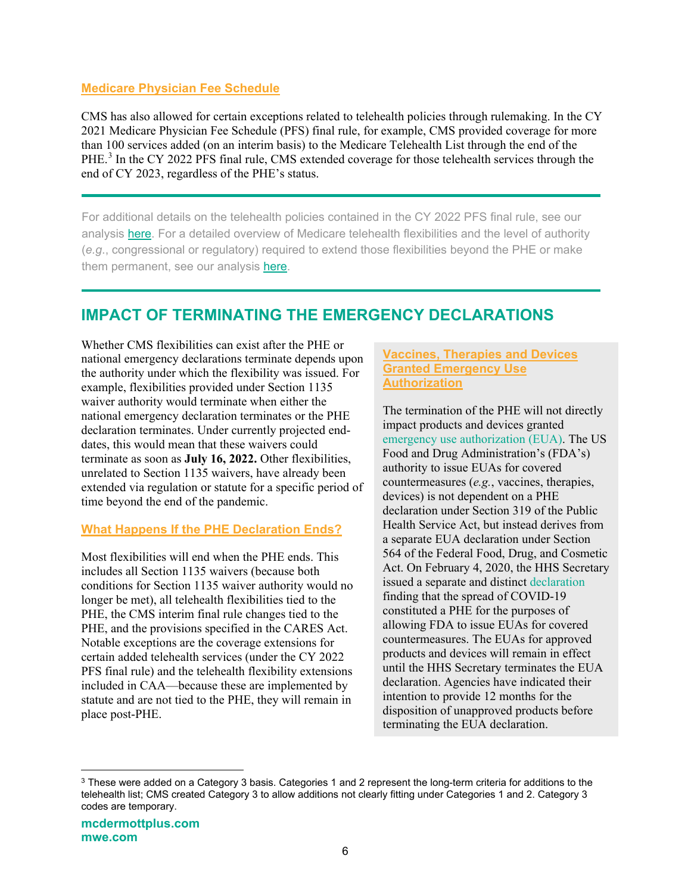#### **Medicare Physician Fee Schedule**

CMS has also allowed for certain exceptions related to telehealth policies through rulemaking. In the CY 2021 Medicare Physician Fee Schedule (PFS) final rule, for example, CMS provided coverage for more than 100 services added (on an interim basis) to the Medicare Telehealth List through the end of the PHE.<sup>[3](#page-5-0)</sup> In the CY 2022 PFS final rule, CMS extended coverage for those telehealth services through the end of CY 2023, regardless of the PHE's status.

For additional details on the telehealth policies contained in the CY 2022 PFS final rule, see our analysis [here.](https://www.mcdermottplus.com/insights/omnibus-spending-package-extends-select-telehealth-flexibilities/) For a detailed overview of Medicare telehealth flexibilities and the level of authority (*e.g*., congressional or regulatory) required to extend those flexibilities beyond the PHE or make them permanent, see our analysis [here.](https://www.mwe.com/it/insights/staying-connected-an-update-on-medicare-reimbursement-for-telehealth-services-after-the-phe/)

# **IMPACT OF TERMINATING THE EMERGENCY DECLARATIONS**

Whether CMS flexibilities can exist after the PHE or national emergency declarations terminate depends upon the authority under which the flexibility was issued. For example, flexibilities provided under Section 1135 waiver authority would terminate when either the national emergency declaration terminates or the PHE declaration terminates. Under currently projected enddates, this would mean that these waivers could terminate as soon as **July 16, 2022.** Other flexibilities, unrelated to Section 1135 waivers, have already been extended via regulation or statute for a specific period of time beyond the end of the pandemic.

### **What Happens If the PHE Declaration Ends?**

Most flexibilities will end when the PHE ends. This includes all Section 1135 waivers (because both conditions for Section 1135 waiver authority would no longer be met), all telehealth flexibilities tied to the PHE, the CMS interim final rule changes tied to the PHE, and the provisions specified in the CARES Act. Notable exceptions are the coverage extensions for certain added telehealth services (under the CY 2022 PFS final rule) and the telehealth flexibility extensions included in CAA—because these are implemented by statute and are not tied to the PHE, they will remain in place post-PHE.

#### **Vaccines, Therapies and Devices Granted Emergency Use Authorization**

The termination of the PHE will not directly impact products and devices granted [emergency use authorization \(EUA\).](https://www.fda.gov/regulatory-information/search-fda-guidance-documents/emergency-use-authorization-medical-products-and-related-authorities#euas) The US Food and Drug Administration's (FDA's) authority to issue EUAs for covered countermeasures (*e.g.*, vaccines, therapies, devices) is not dependent on a PHE declaration under Section 319 of the Public Health Service Act, but instead derives from a separate EUA declaration under Section 564 of the Federal Food, Drug, and Cosmetic Act. On February 4, 2020, the HHS Secretary issued a separate and distinct [declaration](https://www.govinfo.gov/content/pkg/FR-2020-03-17/pdf/2020-05484.pdf) finding that the spread of COVID-19 constituted a PHE for the purposes of allowing FDA to issue EUAs for covered countermeasures. The EUAs for approved products and devices will remain in effect until the HHS Secretary terminates the EUA declaration. Agencies have indicated their intention to provide 12 months for the disposition of unapproved products before terminating the EUA declaration.

<span id="page-5-0"></span><sup>&</sup>lt;sup>3</sup> These were added on a Category 3 basis. Categories 1 and 2 represent the long-term criteria for additions to the telehealth list; CMS created Category 3 to allow additions not clearly fitting under Categories 1 and 2. Category 3 codes are temporary.